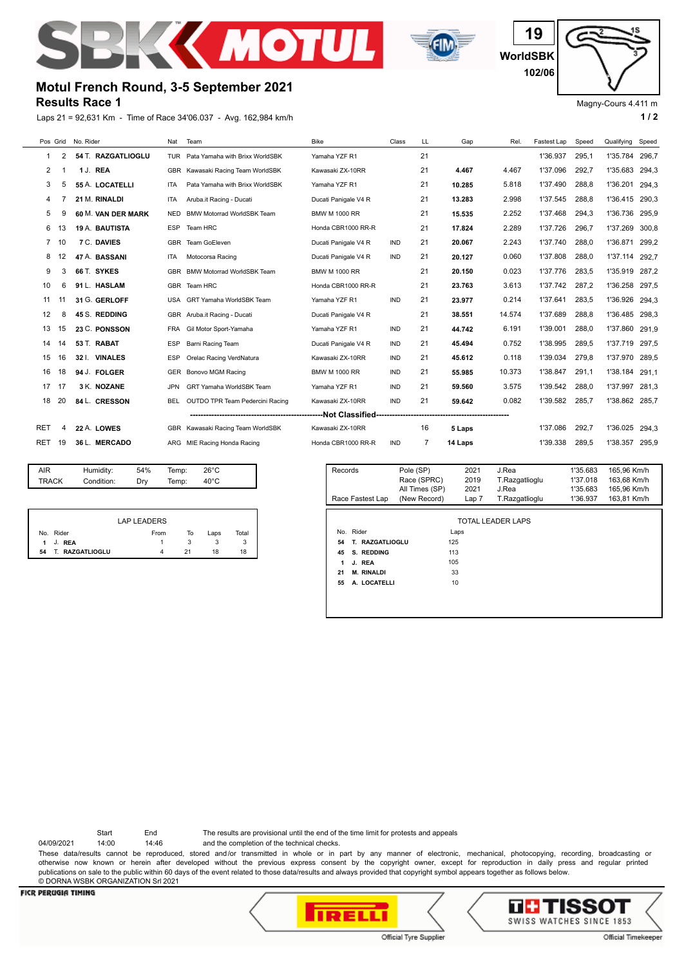



**WorldSBK 19 102/06**

## Magny-Cours 4.411 m

# **Results Race 1 Motul French Round, 3-5 September 2021**

Laps 21 = 92,631 Km - Time of Race 34'06.037 - Avg. 162,984 km/h **1 and 2 1 and 2 1 a 1 a 1 a 1 a 1 a 1 a 1 a 1 a 1 a 1 a 1 a 1 a 1 a 1 a 1 a 1 a 1 a 1 a 1 a 1 a 1 a 1 a 1 a** 

| Pos Grid    |    | No. Rider   |                       | Nat        | Team                              | <b>Bike</b>                        | Class      | LL | Gap     | Rel.   | Fastest Lap | Speed | Qualifying | Speed |
|-------------|----|-------------|-----------------------|------------|-----------------------------------|------------------------------------|------------|----|---------|--------|-------------|-------|------------|-------|
| 1           | 2  |             | 54 T. RAZGATLIOGLU    | <b>TUR</b> | Pata Yamaha with Brixx WorldSBK   | Yamaha YZF R1                      |            | 21 |         |        | 1'36.937    | 295,1 | 1'35.784   | 296,7 |
| 2           |    | 1 J. REA    |                       |            | GBR Kawasaki Racing Team WorldSBK | Kawasaki ZX-10RR                   |            | 21 | 4.467   | 4.467  | 1'37.096    | 292,7 | 1'35.683   | 294.3 |
| 3           | 5  |             | 55 A. LOCATELLI       | <b>ITA</b> | Pata Yamaha with Brixx WorldSBK   | Yamaha YZF R1                      |            | 21 | 10.285  | 5.818  | 1'37.490    | 288.8 | 1'36.201   | 294,3 |
| 4           |    |             | 21 M. RINALDI         | <b>ITA</b> | Aruba.it Racing - Ducati          | Ducati Panigale V4 R               |            | 21 | 13.283  | 2.998  | 1'37.545    | 288,8 | 1'36.415   | 290.3 |
| 5           |    |             | 60 M. VAN DER MARK    | <b>NED</b> | <b>BMW Motorrad WorldSBK Team</b> | <b>BMW M 1000 RR</b>               |            | 21 | 15.535  | 2.252  | 1'37.468    | 294.3 | 1'36.736   | 295.9 |
| 6           |    |             | <b>19 A. BAUTISTA</b> | <b>ESP</b> | Team HRC                          | Honda CBR1000 RR-R                 |            | 21 | 17.824  | 2.289  | 1'37.726    | 296,7 | 1'37.269   | 300.8 |
| $7^{\circ}$ | 10 |             | 7 C. DAVIES           | <b>GBR</b> | Team GoEleven                     | Ducati Panigale V4 R<br><b>IND</b> |            | 21 | 20.067  | 2.243  | 1'37.740    | 288.0 | 1'36.871   | 299.2 |
| 8           |    |             | 47 A. BASSANI         | <b>ITA</b> | Motocorsa Racing                  | Ducati Panigale V4 R               | <b>IND</b> | 21 | 20.127  | 0.060  | 1'37.808    | 288,0 | 1'37.114   | 292.7 |
| 9           | 3  | 66 T. SYKES |                       |            | GBR BMW Motorrad WorldSBK Team    | <b>BMW M 1000 RR</b>               |            | 21 | 20.150  | 0.023  | 1'37.776    | 283,5 | 1'35.919   | 287,2 |
| 10          | 6  |             | 91 L. HASLAM          | <b>GBR</b> | Team HRC                          | Honda CBR1000 RR-R                 |            | 21 | 23.763  | 3.613  | 1'37.742    | 287.2 | 1'36.258   | 297.5 |
| 11          | 11 |             | 31 G. GERLOFF         | <b>USA</b> | <b>GRT Yamaha WorldSBK Team</b>   | Yamaha YZF R1                      | <b>IND</b> | 21 | 23.977  | 0.214  | 1'37.641    | 283.5 | 1'36.926   | 294,3 |
| 12          | 8  |             | 45 S. REDDING         |            | GBR Aruba.it Racing - Ducati      | Ducati Panigale V4 R               |            | 21 | 38.551  | 14.574 | 1'37.689    | 288.8 | 1'36.485   | 298,3 |
| 13          | 15 |             | 23 C. PONSSON         | <b>FRA</b> | Gil Motor Sport-Yamaha            | Yamaha YZF R1                      | <b>IND</b> | 21 | 44.742  | 6.191  | 1'39.001    | 288.0 | 1'37.860   | 291.9 |
| 14          | 14 | 53 T. RABAT |                       | <b>ESP</b> | Barni Racing Team                 | Ducati Panigale V4 R               | <b>IND</b> | 21 | 45.494  | 0.752  | 1'38.995    | 289.5 | 1'37.719   | 297,5 |
| 15          | 16 |             | 32 I. VINALES         | <b>ESP</b> | Orelac Racing VerdNatura          | Kawasaki ZX-10RR                   | <b>IND</b> | 21 | 45.612  | 0.118  | 1'39.034    | 279.8 | 1'37.970   | 289.5 |
| 16          | 18 |             | 94 J. FOLGER          | <b>GER</b> | Bonovo MGM Racing                 | <b>BMW M 1000 RR</b>               | <b>IND</b> | 21 | 55.985  | 10.373 | 1'38.847    | 291.1 | 1'38.184   | 291.1 |
| 17          | 17 |             | 3 K. NOZANE           | JPN        | GRT Yamaha WorldSBK Team          | Yamaha YZF R1                      | <b>IND</b> | 21 | 59.560  | 3.575  | 1'39.542    | 288,0 | 1'37.997   | 281,3 |
| 18          | 20 |             | 84 L. CRESSON         | BEL        | OUTDO TPR Team Pedercini Racing   | Kawasaki ZX-10RR                   | <b>IND</b> | 21 | 59.642  | 0.082  | 1'39.582    | 285.7 | 1'38.862   | 285.7 |
|             |    |             |                       |            |                                   |                                    |            |    |         |        |             |       |            |       |
| <b>RET</b>  | 4  | 22 A. LOWES |                       | GBR        | Kawasaki Racing Team WorldSBK     | Kawasaki ZX-10RR                   |            | 16 | 5 Laps  |        | 1'37.086    | 292,7 | 1'36.025   | 294.3 |
| RET         | 19 |             | 36 L. MERCADO         |            | ARG MIE Racing Honda Racing       | Honda CBR1000 RR-R                 | <b>IND</b> | 7  | 14 Laps |        | 1'39.338    | 289.5 | 1'38.357   | 295.9 |
|             |    |             |                       |            |                                   |                                    |            |    |         |        |             |       |            |       |

| AIR   | Humidity:  | 54% | Temp: | $26^{\circ}$ C |  |
|-------|------------|-----|-------|----------------|--|
| TRACK | Condition: | Dry | Temp: | 40°C           |  |
|       |            |     |       |                |  |

| <b>LAP LEADERS</b> |                     |      |    |      |       |  |  |  |  |  |
|--------------------|---------------------|------|----|------|-------|--|--|--|--|--|
| No.                | Rider               | From | То | Laps | Total |  |  |  |  |  |
| 1.                 | <b>REA</b><br>J.    |      |    |      | 3     |  |  |  |  |  |
| 54                 | <b>RAZGATLIOGLU</b> |      | 21 | 18   | 18    |  |  |  |  |  |

| Records<br>Race Fastest Lap     | Pole (SP)<br>Race (SPRC)<br>All Times (SP)<br>(New Record) | 2021<br>2019<br>2021<br>Lap 7 | J.Rea<br>T.Razgatlioglu<br>J.Rea<br>T.Razgatlioglu | 1'35.683<br>1'37.018<br>1'35.683<br>1'36.937 | 165.96 Km/h<br>163.68 Km/h<br>165,96 Km/h<br>163,81 Km/h |  |  |  |  |  |
|---------------------------------|------------------------------------------------------------|-------------------------------|----------------------------------------------------|----------------------------------------------|----------------------------------------------------------|--|--|--|--|--|
|                                 |                                                            |                               |                                                    |                                              |                                                          |  |  |  |  |  |
| <b>TOTAL LEADER LAPS</b>        |                                                            |                               |                                                    |                                              |                                                          |  |  |  |  |  |
| Rider<br>No.                    |                                                            | Laps                          |                                                    |                                              |                                                          |  |  |  |  |  |
| <b>RAZGATLIOGLU</b><br>54<br>Τ. | 125                                                        |                               |                                                    |                                              |                                                          |  |  |  |  |  |
| S. REDDING<br>45                | 113                                                        |                               |                                                    |                                              |                                                          |  |  |  |  |  |
| J. REA<br>1                     | 105                                                        |                               |                                                    |                                              |                                                          |  |  |  |  |  |
| <b>M. RINALDI</b><br>21         |                                                            | 33                            |                                                    |                                              |                                                          |  |  |  |  |  |
| A. LOCATELLI<br>55              |                                                            | 10                            |                                                    |                                              |                                                          |  |  |  |  |  |
|                                 |                                                            |                               |                                                    |                                              |                                                          |  |  |  |  |  |
|                                 |                                                            |                               |                                                    |                                              |                                                          |  |  |  |  |  |

Start End The results are provisional until the end of the time limit for protests and appeals

04/09/2021 14:00 14:46 and the completion of the technical checks. These data/results cannot be reproduced, stored and/or transmitted in whole or in part by any manner of electronic, mechanical, photocopying, recording, broadcasting or otherwise now known or herein after developed without the previous express consent by the copyright owner, except for reproduction in daily press and regular printed publications on sale to the public within 60 days of the event related to those data/results and always provided that copyright symbol appears together as follows below. © DORNA WSBK ORGANIZATION Srl 2021

# **FICR PERUGIA TIMING**